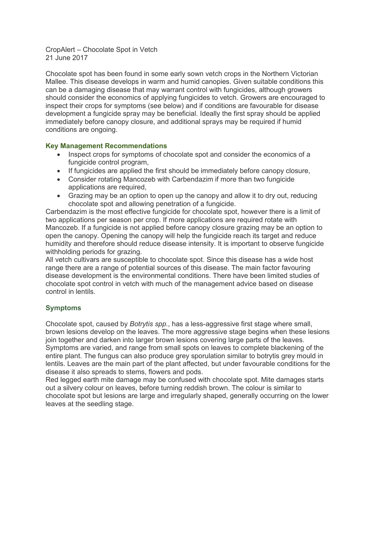CropAlert – Chocolate Spot in Vetch 21 June 2017

Chocolate spot has been found in some early sown vetch crops in the Northern Victorian Mallee. This disease develops in warm and humid canopies. Given suitable conditions this can be a damaging disease that may warrant control with fungicides, although growers should consider the economics of applying fungicides to vetch. Growers are encouraged to inspect their crops for symptoms (see below) and if conditions are favourable for disease development a fungicide spray may be beneficial. Ideally the first spray should be applied immediately before canopy closure, and additional sprays may be required if humid conditions are ongoing.

## **Key Management Recommendations**

- Inspect crops for symptoms of chocolate spot and consider the economics of a fungicide control program,
- If fungicides are applied the first should be immediately before canopy closure,
- Consider rotating Mancozeb with Carbendazim if more than two fungicide applications are required,
- Grazing may be an option to open up the canopy and allow it to dry out, reducing chocolate spot and allowing penetration of a fungicide.

Carbendazim is the most effective fungicide for chocolate spot, however there is a limit of two applications per season per crop. If more applications are required rotate with Mancozeb. If a fungicide is not applied before canopy closure grazing may be an option to open the canopy. Opening the canopy will help the fungicide reach its target and reduce humidity and therefore should reduce disease intensity. It is important to observe fungicide withholding periods for grazing.

All vetch cultivars are susceptible to chocolate spot. Since this disease has a wide host range there are a range of potential sources of this disease. The main factor favouring disease development is the environmental conditions. There have been limited studies of chocolate spot control in vetch with much of the management advice based on disease control in lentils.

## **Symptoms**

Chocolate spot, caused by *Botrytis spp.*, has a less-aggressive first stage where small, brown lesions develop on the leaves. The more aggressive stage begins when these lesions join together and darken into larger brown lesions covering large parts of the leaves. Symptoms are varied, and range from small spots on leaves to complete blackening of the entire plant. The fungus can also produce grey sporulation similar to botrytis grey mould in lentils. Leaves are the main part of the plant affected, but under favourable conditions for the disease it also spreads to stems, flowers and pods.

Red legged earth mite damage may be confused with chocolate spot. Mite damages starts out a silvery colour on leaves, before turning reddish brown. The colour is similar to chocolate spot but lesions are large and irregularly shaped, generally occurring on the lower leaves at the seedling stage.